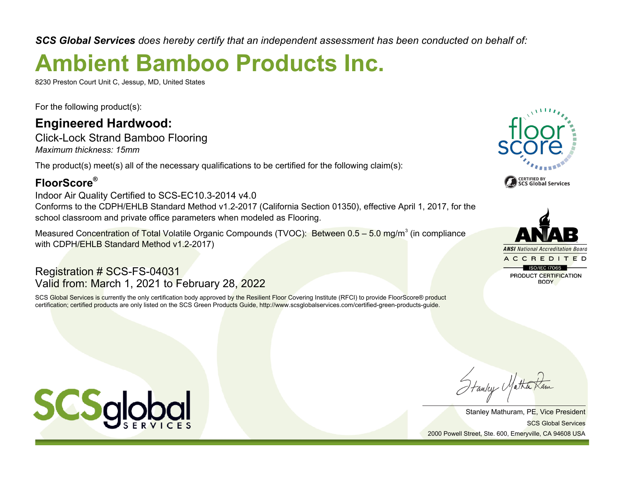*SCS Global Services does hereby certify that an independent assessment has been conducted on behalf of:*

# **Ambient Bamboo Products Inc.**

8230 Preston Court Unit C, Jessup, MD, United States

For the following product(s):

### **Engineered Hardwood:**

Click-Lock Strand Bamboo Flooring *Maximum thickness: 15mm*

The product(s) meet(s) all of the necessary qualifications to be certified for the following claim(s):

#### **FloorScore®**

Indoor Air Quality Certified to SCS-EC10.3-2014 v4.0 Conforms to the CDPH/EHLB Standard Method v1.2-2017 (California Section 01350), effective April 1, 2017, for the school classroom and private office parameters when modeled as Flooring.

Measured Concentration of Total Volatile Organic Compounds (TVOC): Between 0.5 – 5.0 mg/m $^3$  (in compliance with CDPH/EHLB Standard Method v1.2-2017)

Registration # SCS-FS-04031 Valid from: March 1, 2021 to February 28, 2022

SCS Global Services is currently the only certification body approved by the Resilient Floor Covering Institute (RFCI) to provide FloorScore® product certification; certified products are only listed on the SCS Green Products Guide, http://www.scsglobalservices.com/certified-green-products-guide.





Hanley Matha

SCS Global Services Stanley Mathuram, PE, Vice President 2000 Powell Street, Ste. 600, Emeryville, CA 94608 USA